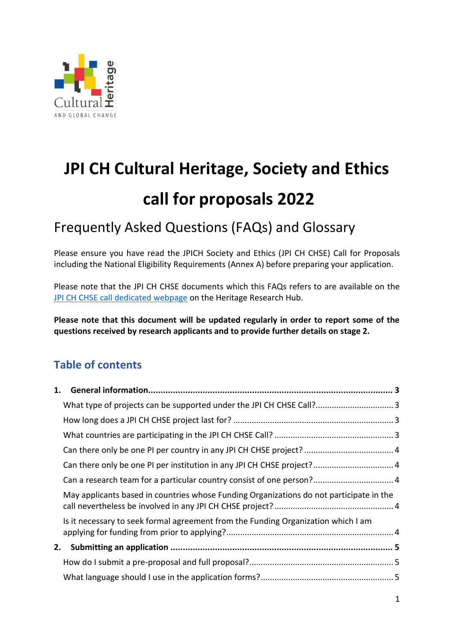

# **JPI CH Cultural Heritage, Society and Ethics call for proposals 2022**

## Frequently Asked Questions (FAQs) and Glossary

Please ensure you have read the JPICH Society and Ethics (JPI CH CHSE) Call for Proposals including the National Eligibility Requirements (Annex A) before preparing your application.

Please note that the JPI CH CHSE documents which this FAQs refers to are available on the [JPI CH CHSE call dedicated webpage](https://www.heritageresearch-hub.eu/funding/cultural-heritage-society-and-ethics-joint-call-2022) on the Heritage Research Hub.

**Please note that this document will be updated regularly in order to report some of the questions received by research applicants and to provide further details on stage 2.**

## **Table of contents**

| 1. |                                                                                         |  |
|----|-----------------------------------------------------------------------------------------|--|
|    |                                                                                         |  |
|    |                                                                                         |  |
|    |                                                                                         |  |
|    |                                                                                         |  |
|    | Can there only be one PI per institution in any JPI CH CHSE project? 4                  |  |
|    | Can a research team for a particular country consist of one person? 4                   |  |
|    | May applicants based in countries whose Funding Organizations do not participate in the |  |
|    | Is it necessary to seek formal agreement from the Funding Organization which I am       |  |
| 2. |                                                                                         |  |
|    |                                                                                         |  |
|    |                                                                                         |  |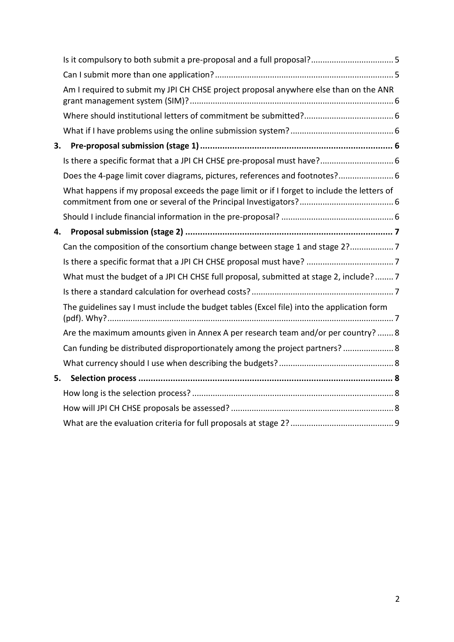|    | Am I required to submit my JPI CH CHSE project proposal anywhere else than on the ANR       |  |
|----|---------------------------------------------------------------------------------------------|--|
|    |                                                                                             |  |
|    |                                                                                             |  |
| 3. |                                                                                             |  |
|    | Is there a specific format that a JPI CH CHSE pre-proposal must have? 6                     |  |
|    | Does the 4-page limit cover diagrams, pictures, references and footnotes? 6                 |  |
|    | What happens if my proposal exceeds the page limit or if I forget to include the letters of |  |
|    |                                                                                             |  |
| 4. |                                                                                             |  |
|    | Can the composition of the consortium change between stage 1 and stage 2?7                  |  |
|    |                                                                                             |  |
|    | What must the budget of a JPI CH CHSE full proposal, submitted at stage 2, include? 7       |  |
|    |                                                                                             |  |
|    | The guidelines say I must include the budget tables (Excel file) into the application form  |  |
|    | Are the maximum amounts given in Annex A per research team and/or per country?  8           |  |
|    | Can funding be distributed disproportionately among the project partners? 8                 |  |
|    |                                                                                             |  |
| 5. |                                                                                             |  |
|    |                                                                                             |  |
|    |                                                                                             |  |
|    |                                                                                             |  |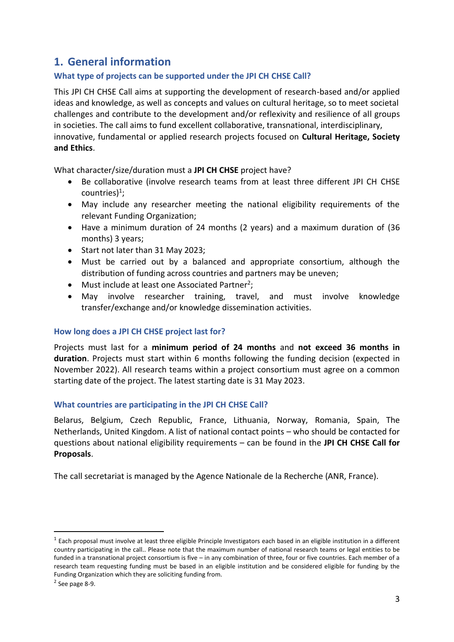## <span id="page-2-0"></span>**1. General information**

#### <span id="page-2-1"></span>**What type of projects can be supported under the JPI CH CHSE Call?**

This JPI CH CHSE Call aims at supporting the development of research-based and/or applied ideas and knowledge, as well as concepts and values on cultural heritage, so to meet societal challenges and contribute to the development and/or reflexivity and resilience of all groups in societies. The call aims to fund excellent collaborative, transnational, interdisciplinary, innovative, fundamental or applied research projects focused on **Cultural Heritage, Society and Ethics**.

What character/size/duration must a **JPI CH CHSE** project have?

- Be collaborative (involve research teams from at least three different JPI CH CHSE countries)<sup>1</sup>;
- May include any researcher meeting the national eligibility requirements of the relevant Funding Organization;
- Have a minimum duration of 24 months (2 years) and a maximum duration of (36 months) 3 years;
- Start not later than 31 May 2023;
- Must be carried out by a balanced and appropriate consortium, although the distribution of funding across countries and partners may be uneven;
- $\bullet$  Must include at least one Associated Partner<sup>2</sup>;
- May involve researcher training, travel, and must involve knowledge transfer/exchange and/or knowledge dissemination activities.

#### <span id="page-2-2"></span>**How long does a JPI CH CHSE project last for?**

Projects must last for a **minimum period of 24 months** and **not exceed 36 months in duration**. Projects must start within 6 months following the funding decision (expected in November 2022). All research teams within a project consortium must agree on a common starting date of the project. The latest starting date is 31 May 2023.

#### <span id="page-2-3"></span>**What countries are participating in the JPI CH CHSE Call?**

Belarus, Belgium, Czech Republic, France, Lithuania, Norway, Romania, Spain, The Netherlands, United Kingdom. A list of national contact points – who should be contacted for questions about national eligibility requirements – can be found in the **JPI CH CHSE Call for Proposals**.

The call secretariat is managed by the Agence Nationale de la Recherche (ANR, France).

1

 $^1$  Each proposal must involve at least three eligible Principle Investigators each based in an eligible institution in a different country participating in the call.. Please note that the maximum number of national research teams or legal entities to be funded in a transnational project consortium is five – in any combination of three, four or five countries. Each member of a research team requesting funding must be based in an eligible institution and be considered eligible for funding by the Funding Organization which they are soliciting funding from.

<sup>2</sup> See page 8-9.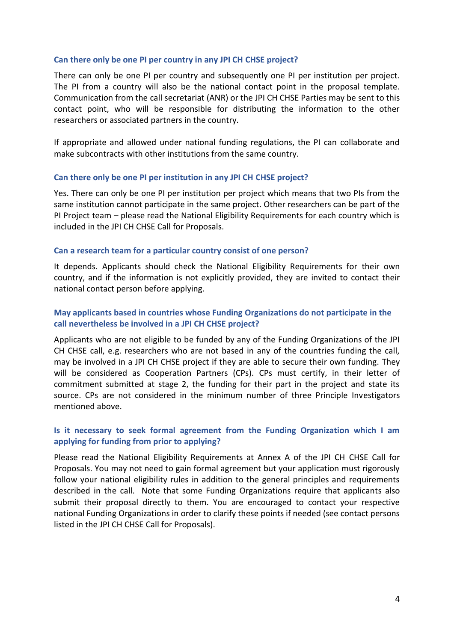#### <span id="page-3-0"></span>**Can there only be one PI per country in any JPI CH CHSE project?**

There can only be one PI per country and subsequently one PI per institution per project. The PI from a country will also be the national contact point in the proposal template. Communication from the call secretariat (ANR) or the JPI CH CHSE Parties may be sent to this contact point, who will be responsible for distributing the information to the other researchers or associated partners in the country.

If appropriate and allowed under national funding regulations, the PI can collaborate and make subcontracts with other institutions from the same country.

#### <span id="page-3-1"></span>**Can there only be one PI per institution in any JPI CH CHSE project?**

Yes. There can only be one PI per institution per project which means that two PIs from the same institution cannot participate in the same project. Other researchers can be part of the PI Project team – please read the National Eligibility Requirements for each country which is included in the JPI CH CHSE Call for Proposals.

#### <span id="page-3-2"></span>**Can a research team for a particular country consist of one person?**

It depends. Applicants should check the National Eligibility Requirements for their own country, and if the information is not explicitly provided, they are invited to contact their national contact person before applying.

#### <span id="page-3-3"></span>**May applicants based in countries whose Funding Organizations do not participate in the call nevertheless be involved in a JPI CH CHSE project?**

Applicants who are not eligible to be funded by any of the Funding Organizations of the JPI CH CHSE call, e.g. researchers who are not based in any of the countries funding the call, may be involved in a JPI CH CHSE project if they are able to secure their own funding. They will be considered as Cooperation Partners (CPs). CPs must certify, in their letter of commitment submitted at stage 2, the funding for their part in the project and state its source. CPs are not considered in the minimum number of three Principle Investigators mentioned above.

#### <span id="page-3-4"></span>**Is it necessary to seek formal agreement from the Funding Organization which I am applying for funding from prior to applying?**

Please read the National Eligibility Requirements at Annex A of the JPI CH CHSE Call for Proposals. You may not need to gain formal agreement but your application must rigorously follow your national eligibility rules in addition to the general principles and requirements described in the call. Note that some Funding Organizations require that applicants also submit their proposal directly to them. You are encouraged to contact your respective national Funding Organizations in order to clarify these points if needed (see contact persons listed in the JPI CH CHSE Call for Proposals).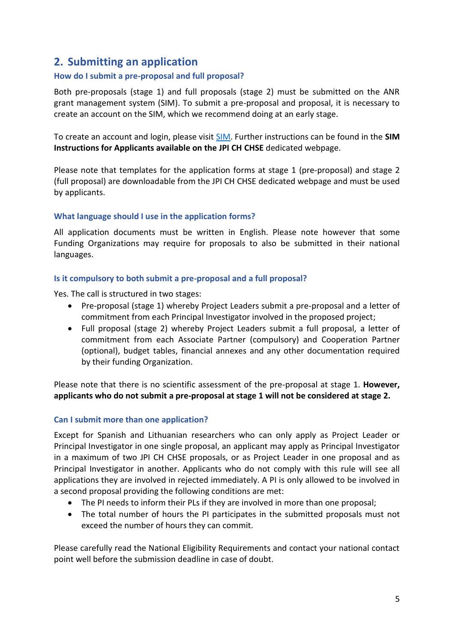### <span id="page-4-0"></span>**2. Submitting an application**

#### <span id="page-4-1"></span>**How do I submit a pre-proposal and full proposal?**

Both pre-proposals (stage 1) and full proposals (stage 2) must be submitted on the ANR grant management system (SIM). To submit a pre-proposal and proposal, it is necessary to create an account on the SIM, which we recommend doing at an early stage.

To create an account and login, please visit [SIM.](http://sim/) Further instructions can be found in the **SIM Instructions for Applicants available on the JPI CH CHSE** dedicated webpage.

Please note that templates for the application forms at stage 1 (pre-proposal) and stage 2 (full proposal) are downloadable from the JPI CH CHSE dedicated webpage and must be used by applicants.

#### <span id="page-4-2"></span>**What language should I use in the application forms?**

All application documents must be written in English. Please note however that some Funding Organizations may require for proposals to also be submitted in their national languages.

#### <span id="page-4-3"></span>**Is it compulsory to both submit a pre-proposal and a full proposal?**

Yes. The call is structured in two stages:

- Pre-proposal (stage 1) whereby Project Leaders submit a pre-proposal and a letter of commitment from each Principal Investigator involved in the proposed project;
- Full proposal (stage 2) whereby Project Leaders submit a full proposal, a letter of commitment from each Associate Partner (compulsory) and Cooperation Partner (optional), budget tables, financial annexes and any other documentation required by their funding Organization.

Please note that there is no scientific assessment of the pre-proposal at stage 1. **However, applicants who do not submit a pre-proposal at stage 1 will not be considered at stage 2.**

#### <span id="page-4-4"></span>**Can I submit more than one application?**

Except for Spanish and Lithuanian researchers who can only apply as Project Leader or Principal Investigator in one single proposal, an applicant may apply as Principal Investigator in a maximum of two JPI CH CHSE proposals, or as Project Leader in one proposal and as Principal Investigator in another. Applicants who do not comply with this rule will see all applications they are involved in rejected immediately. A PI is only allowed to be involved in a second proposal providing the following conditions are met:

- The PI needs to inform their PLs if they are involved in more than one proposal;
- The total number of hours the PI participates in the submitted proposals must not exceed the number of hours they can commit.

Please carefully read the National Eligibility Requirements and contact your national contact point well before the submission deadline in case of doubt.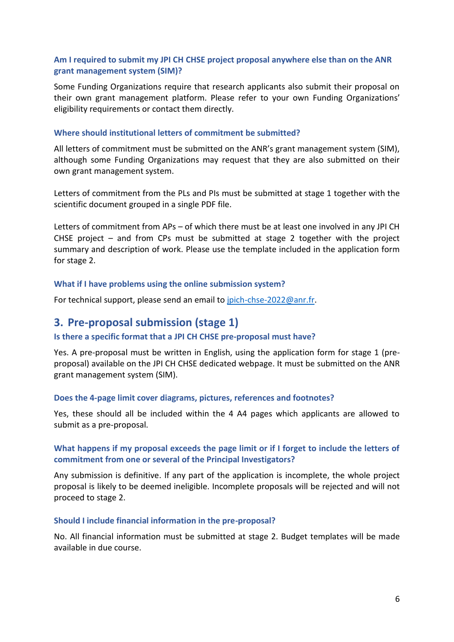#### <span id="page-5-0"></span>**Am I required to submit my JPI CH CHSE project proposal anywhere else than on the ANR grant management system (SIM)?**

Some Funding Organizations require that research applicants also submit their proposal on their own grant management platform. Please refer to your own Funding Organizations' eligibility requirements or contact them directly.

#### <span id="page-5-1"></span>**Where should institutional letters of commitment be submitted?**

All letters of commitment must be submitted on the ANR's grant management system (SIM), although some Funding Organizations may request that they are also submitted on their own grant management system.

Letters of commitment from the PLs and PIs must be submitted at stage 1 together with the scientific document grouped in a single PDF file.

Letters of commitment from APs – of which there must be at least one involved in any JPI CH CHSE project  $-$  and from CPs must be submitted at stage 2 together with the project summary and description of work. Please use the template included in the application form for stage 2.

#### <span id="page-5-2"></span>**What if I have problems using the online submission system?**

<span id="page-5-3"></span>For technical support, please send an email to [jpich-chse-2022@anr.fr.](mailto:jpich-chse-2022@anr.fr)

#### **3. Pre-proposal submission (stage 1)**

#### <span id="page-5-4"></span>**Is there a specific format that a JPI CH CHSE pre-proposal must have?**

Yes. A pre-proposal must be written in English, using the application form for stage 1 (preproposal) available on the JPI CH CHSE dedicated webpage. It must be submitted on the ANR grant management system (SIM).

#### <span id="page-5-5"></span>**Does the 4-page limit cover diagrams, pictures, references and footnotes?**

Yes, these should all be included within the 4 A4 pages which applicants are allowed to submit as a pre-proposal.

#### <span id="page-5-6"></span>**What happens if my proposal exceeds the page limit or if I forget to include the letters of commitment from one or several of the Principal Investigators?**

Any submission is definitive. If any part of the application is incomplete, the whole project proposal is likely to be deemed ineligible. Incomplete proposals will be rejected and will not proceed to stage 2.

#### <span id="page-5-7"></span>**Should I include financial information in the pre-proposal?**

No. All financial information must be submitted at stage 2. Budget templates will be made available in due course.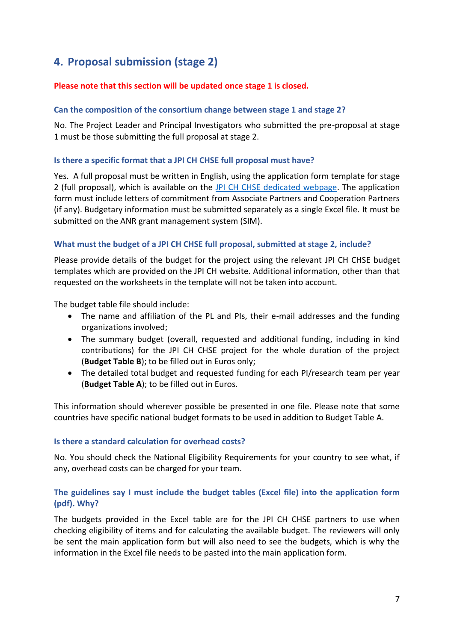## <span id="page-6-0"></span>**4. Proposal submission (stage 2)**

#### **Please note that this section will be updated once stage 1 is closed.**

#### <span id="page-6-1"></span>**Can the composition of the consortium change between stage 1 and stage 2?**

No. The Project Leader and Principal Investigators who submitted the pre-proposal at stage 1 must be those submitting the full proposal at stage 2.

#### <span id="page-6-2"></span>**Is there a specific format that a JPI CH CHSE full proposal must have?**

Yes. A full proposal must be written in English, using the application form template for stage 2 (full proposal), which is available on the [JPI CH CHSE dedicated webpage.](https://www.heritageresearch-hub.eu/funding/cultural-heritage-society-and-ethics-joint-call-2022) The application form must include letters of commitment from Associate Partners and Cooperation Partners (if any). Budgetary information must be submitted separately as a single Excel file. It must be submitted on the ANR grant management system (SIM).

#### <span id="page-6-3"></span>**What must the budget of a JPI CH CHSE full proposal, submitted at stage 2, include?**

Please provide details of the budget for the project using the relevant JPI CH CHSE budget templates which are provided on the JPI CH website. Additional information, other than that requested on the worksheets in the template will not be taken into account.

The budget table file should include:

- The name and affiliation of the PL and PIs, their e-mail addresses and the funding organizations involved;
- The summary budget (overall, requested and additional funding, including in kind contributions) for the JPI CH CHSE project for the whole duration of the project (**Budget Table B**); to be filled out in Euros only;
- The detailed total budget and requested funding for each PI/research team per year (**Budget Table A**); to be filled out in Euros.

This information should wherever possible be presented in one file. Please note that some countries have specific national budget formats to be used in addition to Budget Table A.

#### <span id="page-6-4"></span>**Is there a standard calculation for overhead costs?**

No. You should check the National Eligibility Requirements for your country to see what, if any, overhead costs can be charged for your team.

#### <span id="page-6-5"></span>**The guidelines say I must include the budget tables (Excel file) into the application form (pdf). Why?**

The budgets provided in the Excel table are for the JPI CH CHSE partners to use when checking eligibility of items and for calculating the available budget. The reviewers will only be sent the main application form but will also need to see the budgets, which is why the information in the Excel file needs to be pasted into the main application form.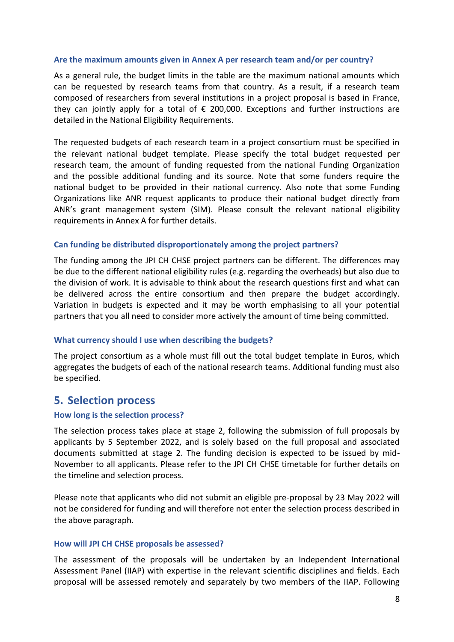#### <span id="page-7-0"></span>**Are the maximum amounts given in Annex A per research team and/or per country?**

As a general rule, the budget limits in the table are the maximum national amounts which can be requested by research teams from that country. As a result, if a research team composed of researchers from several institutions in a project proposal is based in France, they can jointly apply for a total of  $\epsilon$  200,000. Exceptions and further instructions are detailed in the National Eligibility Requirements.

The requested budgets of each research team in a project consortium must be specified in the relevant national budget template. Please specify the total budget requested per research team, the amount of funding requested from the national Funding Organization and the possible additional funding and its source. Note that some funders require the national budget to be provided in their national currency. Also note that some Funding Organizations like ANR request applicants to produce their national budget directly from ANR's grant management system (SIM). Please consult the relevant national eligibility requirements in Annex A for further details.

#### <span id="page-7-1"></span>**Can funding be distributed disproportionately among the project partners?**

The funding among the JPI CH CHSE project partners can be different. The differences may be due to the different national eligibility rules (e.g. regarding the overheads) but also due to the division of work. It is advisable to think about the research questions first and what can be delivered across the entire consortium and then prepare the budget accordingly. Variation in budgets is expected and it may be worth emphasising to all your potential partners that you all need to consider more actively the amount of time being committed.

#### <span id="page-7-2"></span>**What currency should I use when describing the budgets?**

The project consortium as a whole must fill out the total budget template in Euros, which aggregates the budgets of each of the national research teams. Additional funding must also be specified.

#### <span id="page-7-3"></span>**5. Selection process**

#### <span id="page-7-4"></span>**How long is the selection process?**

The selection process takes place at stage 2, following the submission of full proposals by applicants by 5 September 2022, and is solely based on the full proposal and associated documents submitted at stage 2. The funding decision is expected to be issued by mid-November to all applicants. Please refer to the JPI CH CHSE timetable for further details on the timeline and selection process.

Please note that applicants who did not submit an eligible pre-proposal by 23 May 2022 will not be considered for funding and will therefore not enter the selection process described in the above paragraph.

#### <span id="page-7-5"></span>**How will JPI CH CHSE proposals be assessed?**

The assessment of the proposals will be undertaken by an Independent International Assessment Panel (IIAP) with expertise in the relevant scientific disciplines and fields. Each proposal will be assessed remotely and separately by two members of the IIAP. Following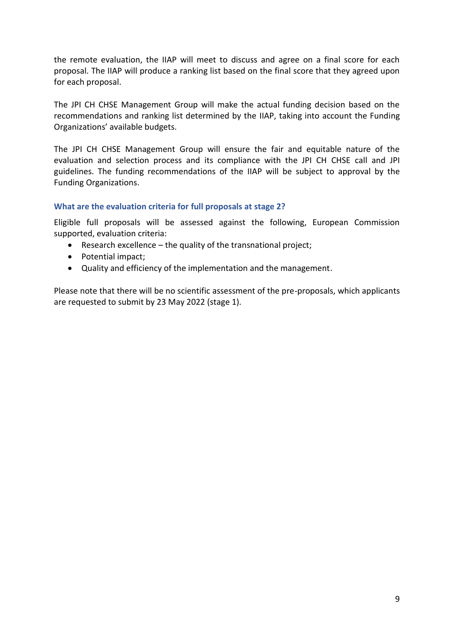the remote evaluation, the IIAP will meet to discuss and agree on a final score for each proposal. The IIAP will produce a ranking list based on the final score that they agreed upon for each proposal.

The JPI CH CHSE Management Group will make the actual funding decision based on the recommendations and ranking list determined by the IIAP, taking into account the Funding Organizations' available budgets.

The JPI CH CHSE Management Group will ensure the fair and equitable nature of the evaluation and selection process and its compliance with the JPI CH CHSE call and JPI guidelines. The funding recommendations of the IIAP will be subject to approval by the Funding Organizations.

#### <span id="page-8-0"></span>**What are the evaluation criteria for full proposals at stage 2?**

Eligible full proposals will be assessed against the following, European Commission supported, evaluation criteria:

- Research excellence the quality of the transnational project;
- Potential impact:
- Quality and efficiency of the implementation and the management.

Please note that there will be no scientific assessment of the pre-proposals, which applicants are requested to submit by 23 May 2022 (stage 1).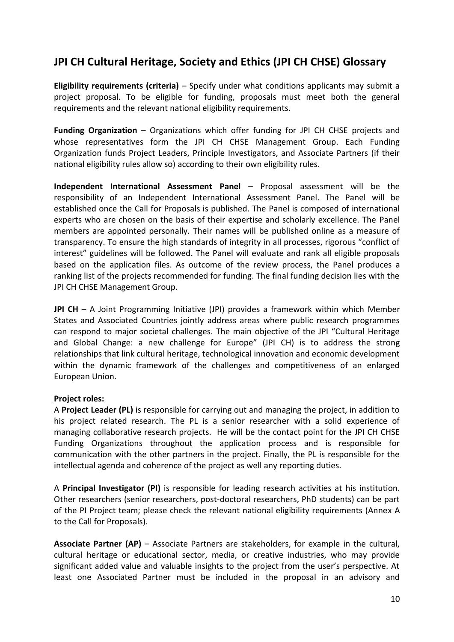## **JPI CH Cultural Heritage, Society and Ethics (JPI CH CHSE) Glossary**

**Eligibility requirements (criteria)** – Specify under what conditions applicants may submit a project proposal. To be eligible for funding, proposals must meet both the general requirements and the relevant national eligibility requirements.

**Funding Organization** – Organizations which offer funding for JPI CH CHSE projects and whose representatives form the JPI CH CHSE Management Group. Each Funding Organization funds Project Leaders, Principle Investigators, and Associate Partners (if their national eligibility rules allow so) according to their own eligibility rules.

**Independent International Assessment Panel** – Proposal assessment will be the responsibility of an Independent International Assessment Panel. The Panel will be established once the Call for Proposals is published. The Panel is composed of international experts who are chosen on the basis of their expertise and scholarly excellence. The Panel members are appointed personally. Their names will be published online as a measure of transparency. To ensure the high standards of integrity in all processes, rigorous "conflict of interest" guidelines will be followed. The Panel will evaluate and rank all eligible proposals based on the application files. As outcome of the review process, the Panel produces a ranking list of the projects recommended for funding. The final funding decision lies with the JPI CH CHSE Management Group.

**JPI CH** – A Joint Programming Initiative (JPI) provides a framework within which Member States and Associated Countries jointly address areas where public research programmes can respond to major societal challenges. The main objective of the JPI "Cultural Heritage and Global Change: a new challenge for Europe" (JPI CH) is to address the strong relationships that link cultural heritage, technological innovation and economic development within the dynamic framework of the challenges and competitiveness of an enlarged European Union.

#### **Project roles:**

A **Project Leader (PL)** is responsible for carrying out and managing the project, in addition to his project related research. The PL is a senior researcher with a solid experience of managing collaborative research projects. He will be the contact point for the JPI CH CHSE Funding Organizations throughout the application process and is responsible for communication with the other partners in the project. Finally, the PL is responsible for the intellectual agenda and coherence of the project as well any reporting duties.

A **Principal Investigator (PI)** is responsible for leading research activities at his institution. Other researchers (senior researchers, post-doctoral researchers, PhD students) can be part of the PI Project team; please check the relevant national eligibility requirements (Annex A to the Call for Proposals).

**Associate Partner (AP)** – Associate Partners are stakeholders, for example in the cultural, cultural heritage or educational sector, media, or creative industries, who may provide significant added value and valuable insights to the project from the user's perspective. At least one Associated Partner must be included in the proposal in an advisory and